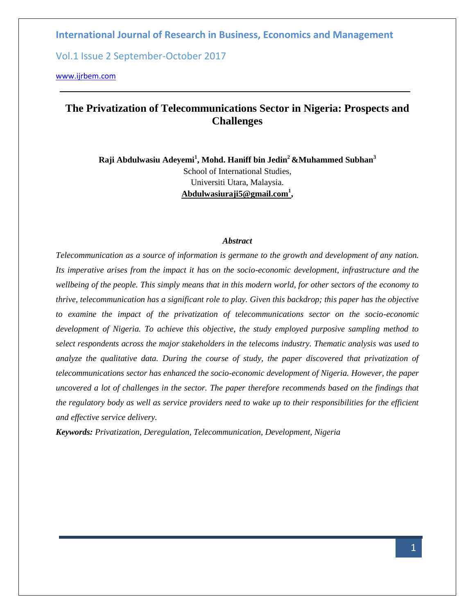Vol.1 Issue 2 September-October 2017

[www.ijrbem.com](http://www.ijrbem.com/)

# **The Privatization of Telecommunications Sector in Nigeria: Prospects and Challenges**

**Raji Abdulwasiu Adeyemi<sup>1</sup> , Mohd. Haniff bin Jedin<sup>2</sup>&Muhammed Subhan<sup>3</sup>** School of International Studies, Universiti Utara, Malaysia. **[Abdulwasiuraji5@gmail.com](mailto:Abdulwasiuraji5@gmail.com1)<sup>1</sup> ,**

#### *Abstract*

*Telecommunication as a source of information is germane to the growth and development of any nation. Its imperative arises from the impact it has on the socio-economic development, infrastructure and the wellbeing of the people. This simply means that in this modern world, for other sectors of the economy to thrive, telecommunication has a significant role to play. Given this backdrop; this paper has the objective to examine the impact of the privatization of telecommunications sector on the socio-economic development of Nigeria. To achieve this objective, the study employed purposive sampling method to select respondents across the major stakeholders in the telecoms industry. Thematic analysis was used to analyze the qualitative data. During the course of study, the paper discovered that privatization of telecommunications sector has enhanced the socio-economic development of Nigeria. However, the paper uncovered a lot of challenges in the sector. The paper therefore recommends based on the findings that the regulatory body as well as service providers need to wake up to their responsibilities for the efficient and effective service delivery.* 

*Keywords: Privatization, Deregulation, Telecommunication, Development, Nigeria*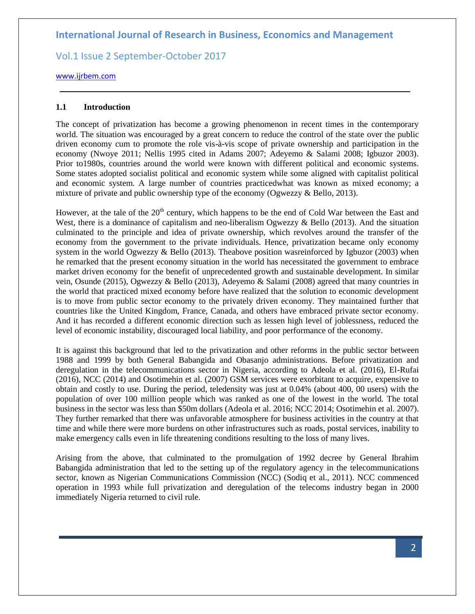Vol.1 Issue 2 September-October 2017

### [www.ijrbem.com](http://www.ijrbem.com/)

## **1.1 Introduction**

The concept of privatization has become a growing phenomenon in recent times in the contemporary world. The situation was encouraged by a great concern to reduce the control of the state over the public driven economy cum to promote the role vis-à-vis scope of private ownership and participation in the economy (Nwoye 2011; Nellis 1995 cited in Adams 2007; Adeyemo & Salami 2008; Igbuzor 2003). Prior to1980s, countries around the world were known with different political and economic systems. Some states adopted socialist political and economic system while some aligned with capitalist political and economic system. A large number of countries practicedwhat was known as mixed economy; a mixture of private and public ownership type of the economy (Ogwezzy & Bello, 2013).

However, at the tale of the  $20<sup>th</sup>$  century, which happens to be the end of Cold War between the East and West, there is a dominance of capitalism and neo-liberalism Ogwezzy & Bello (2013). And the situation culminated to the principle and idea of private ownership, which revolves around the transfer of the economy from the government to the private individuals. Hence, privatization became only economy system in the world Ogwezzy & Bello (2013). Theabove position wasreinforced by Igbuzor (2003) when he remarked that the present economy situation in the world has necessitated the government to embrace market driven economy for the benefit of unprecedented growth and sustainable development. In similar vein, Osunde (2015), Ogwezzy & Bello (2013), Adeyemo & Salami (2008) agreed that many countries in the world that practiced mixed economy before have realized that the solution to economic development is to move from public sector economy to the privately driven economy. They maintained further that countries like the United Kingdom, France, Canada, and others have embraced private sector economy. And it has recorded a different economic direction such as lessen high level of joblessness, reduced the level of economic instability, discouraged local liability, and poor performance of the economy.

It is against this background that led to the privatization and other reforms in the public sector between 1988 and 1999 by both General Babangida and Obasanjo administrations. Before privatization and deregulation in the telecommunications sector in Nigeria, according to Adeola et al. (2016), El-Rufai (2016), NCC (2014) and Osotimehin et al. (2007) GSM services were exorbitant to acquire, expensive to obtain and costly to use. During the period, teledensity was just at 0.04% (about 400, 00 users) with the population of over 100 million people which was ranked as one of the lowest in the world. The total business in the sector was less than \$50m dollars (Adeola et al. 2016; NCC 2014; Osotimehin et al. 2007). They further remarked that there was unfavorable atmosphere for business activities in the country at that time and while there were more burdens on other infrastructures such as roads, postal services, inability to make emergency calls even in life threatening conditions resulting to the loss of many lives.

Arising from the above, that culminated to the promulgation of 1992 decree by General Ibrahim Babangida administration that led to the setting up of the regulatory agency in the telecommunications sector, known as Nigerian Communications Commission (NCC) (Sodiq et al., 2011). NCC commenced operation in 1993 while full privatization and deregulation of the telecoms industry began in 2000 immediately Nigeria returned to civil rule.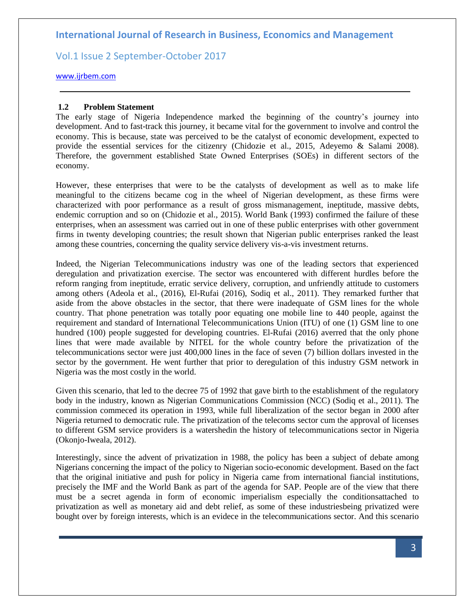Vol.1 Issue 2 September-October 2017

### [www.ijrbem.com](http://www.ijrbem.com/)

### **1.2 Problem Statement**

The early stage of Nigeria Independence marked the beginning of the country's journey into development. And to fast-track this journey, it became vital for the government to involve and control the economy. This is because, state was perceived to be the catalyst of economic development, expected to provide the essential services for the citizenry (Chidozie et al., 2015, Adeyemo & Salami 2008). Therefore, the government established State Owned Enterprises (SOEs) in different sectors of the economy.

However, these enterprises that were to be the catalysts of development as well as to make life meaningful to the citizens became cog in the wheel of Nigerian development, as these firms were characterized with poor performance as a result of gross mismanagement, ineptitude, massive debts, endemic corruption and so on (Chidozie et al., 2015). World Bank (1993) confirmed the failure of these enterprises, when an assessment was carried out in one of these public enterprises with other government firms in twenty developing countries; the result shown that Nigerian public enterprises ranked the least among these countries, concerning the quality service delivery vis-a-vis investment returns.

Indeed, the Nigerian Telecommunications industry was one of the leading sectors that experienced deregulation and privatization exercise. The sector was encountered with different hurdles before the reform ranging from ineptitude, erratic service delivery, corruption, and unfriendly attitude to customers among others (Adeola et al., (2016), El-Rufai (2016), Sodiq et al., 2011). They remarked further that aside from the above obstacles in the sector, that there were inadequate of GSM lines for the whole country. That phone penetration was totally poor equating one mobile line to 440 people, against the requirement and standard of International Telecommunications Union (ITU) of one (1) GSM line to one hundred (100) people suggested for developing countries. El-Rufai (2016) averred that the only phone lines that were made available by NITEL for the whole country before the privatization of the telecommunications sector were just 400,000 lines in the face of seven (7) billion dollars invested in the sector by the government. He went further that prior to deregulation of this industry GSM network in Nigeria was the most costly in the world.

Given this scenario, that led to the decree 75 of 1992 that gave birth to the establishment of the regulatory body in the industry, known as Nigerian Communications Commission (NCC) (Sodiq et al., 2011). The commission commeced its operation in 1993, while full liberalization of the sector began in 2000 after Nigeria returned to democratic rule. The privatization of the telecoms sector cum the approval of licenses to different GSM service providers is a watershedin the history of telecommunications sector in Nigeria (Okonjo-Iweala, 2012).

Interestingly, since the advent of privatization in 1988, the policy has been a subject of debate among Nigerians concerning the impact of the policy to Nigerian socio-economic development. Based on the fact that the original initiative and push for policy in Nigeria came from international fiancial institutions, precisely the IMF and the World Bank as part of the agenda for SAP. People are of the view that there must be a secret agenda in form of economic imperialism especially the conditionsattached to privatization as well as monetary aid and debt relief, as some of these industriesbeing privatized were bought over by foreign interests, which is an evidece in the telecommunications sector. And this scenario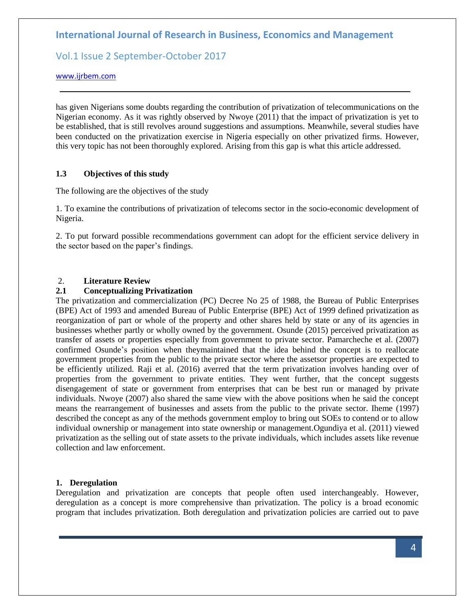# Vol.1 Issue 2 September-October 2017

### [www.ijrbem.com](http://www.ijrbem.com/)

has given Nigerians some doubts regarding the contribution of privatization of telecommunications on the Nigerian economy. As it was rightly observed by Nwoye (2011) that the impact of privatization is yet to be established, that is still revolves around suggestions and assumptions. Meanwhile, several studies have been conducted on the privatization exercise in Nigeria especially on other privatized firms. However, this very topic has not been thoroughly explored. Arising from this gap is what this article addressed.

### **1.3 Objectives of this study**

The following are the objectives of the study

1. To examine the contributions of privatization of telecoms sector in the socio-economic development of Nigeria.

2. To put forward possible recommendations government can adopt for the efficient service delivery in the sector based on the paper's findings.

## 2. **Literature Review**

### **2.1 Conceptualizing Privatization**

The privatization and commercialization (PC) Decree No 25 of 1988, the Bureau of Public Enterprises (BPE) Act of 1993 and amended Bureau of Public Enterprise (BPE) Act of 1999 defined privatization as reorganization of part or whole of the property and other shares held by state or any of its agencies in businesses whether partly or wholly owned by the government. Osunde (2015) perceived privatization as transfer of assets or properties especially from government to private sector. Pamarcheche et al. (2007) confirmed Osunde's position when theymaintained that the idea behind the concept is to reallocate government properties from the public to the private sector where the assetsor properties are expected to be efficiently utilized. Raji et al. (2016) averred that the term privatization involves handing over of properties from the government to private entities. They went further, that the concept suggests disengagement of state or government from enterprises that can be best run or managed by private individuals. Nwoye (2007) also shared the same view with the above positions when he said the concept means the rearrangement of businesses and assets from the public to the private sector. Iheme (1997) described the concept as any of the methods government employ to bring out SOEs to contend or to allow individual ownership or management into state ownership or management.Ogundiya et al. (2011) viewed privatization as the selling out of state assets to the private individuals, which includes assets like revenue collection and law enforcement.

### **1. Deregulation**

Deregulation and privatization are concepts that people often used interchangeably. However, deregulation as a concept is more comprehensive than privatization. The policy is a broad economic program that includes privatization. Both deregulation and privatization policies are carried out to pave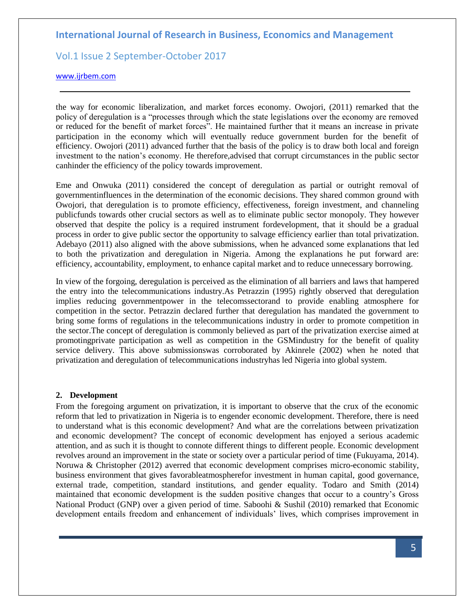# Vol.1 Issue 2 September-October 2017

### [www.ijrbem.com](http://www.ijrbem.com/)

the way for economic liberalization, and market forces economy. Owojori, (2011) remarked that the policy of deregulation is a "processes through which the state legislations over the economy are removed or reduced for the benefit of market forces". He maintained further that it means an increase in private participation in the economy which will eventually reduce government burden for the benefit of efficiency. Owojori (2011) advanced further that the basis of the policy is to draw both local and foreign investment to the nation's economy. He therefore,advised that corrupt circumstances in the public sector canhinder the efficiency of the policy towards improvement.

Eme and Onwuka (2011) considered the concept of deregulation as partial or outright removal of governmentinfluences in the determination of the economic decisions. They shared common ground with Owojori, that deregulation is to promote efficiency, effectiveness, foreign investment, and channeling publicfunds towards other crucial sectors as well as to eliminate public sector monopoly. They however observed that despite the policy is a required instrument fordevelopment, that it should be a gradual process in order to give public sector the opportunity to salvage efficiency earlier than total privatization. Adebayo (2011) also aligned with the above submissions, when he advanced some explanations that led to both the privatization and deregulation in Nigeria. Among the explanations he put forward are: efficiency, accountability, employment, to enhance capital market and to reduce unnecessary borrowing.

In view of the forgoing, deregulation is perceived as the elimination of all barriers and laws that hampered the entry into the telecommunications industry.As Petrazzin (1995) rightly observed that deregulation implies reducing governmentpower in the telecomssectorand to provide enabling atmosphere for competition in the sector. Petrazzin declared further that deregulation has mandated the government to bring some forms of regulations in the telecommunications industry in order to promote competition in the sector.The concept of deregulation is commonly believed as part of the privatization exercise aimed at promotingprivate participation as well as competition in the GSMindustry for the benefit of quality service delivery. This above submissionswas corroborated by Akinrele (2002) when he noted that privatization and deregulation of telecommunications industryhas led Nigeria into global system.

### **2. Development**

From the foregoing argument on privatization, it is important to observe that the crux of the economic reform that led to privatization in Nigeria is to engender economic development. Therefore, there is need to understand what is this economic development? And what are the correlations between privatization and economic development? The concept of economic development has enjoyed a serious academic attention, and as such it is thought to connote different things to different people. Economic development revolves around an improvement in the state or society over a particular period of time (Fukuyama, 2014). Noruwa & Christopher (2012) averred that economic development comprises micro-economic stability, business environment that gives favorableatmospherefor investment in human capital, good governance, external trade, competition, standard institutions, and gender equality. Todaro and Smith (2014) maintained that economic development is the sudden positive changes that occur to a country's Gross National Product (GNP) over a given period of time. Saboohi & Sushil (2010) remarked that Economic development entails freedom and enhancement of individuals' lives, which comprises improvement in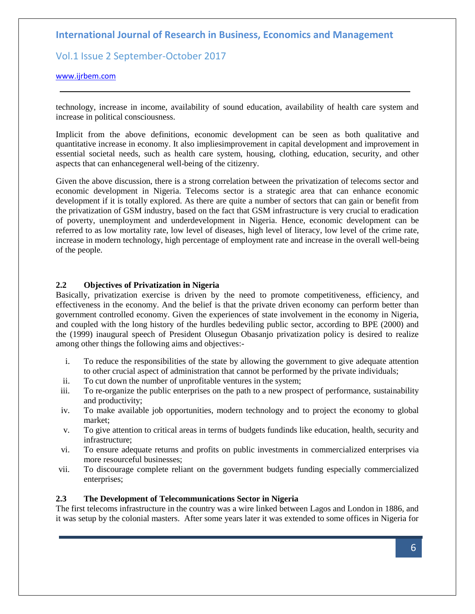Vol.1 Issue 2 September-October 2017

### [www.ijrbem.com](http://www.ijrbem.com/)

technology, increase in income, availability of sound education, availability of health care system and increase in political consciousness.

Implicit from the above definitions, economic development can be seen as both qualitative and quantitative increase in economy. It also impliesimprovement in capital development and improvement in essential societal needs, such as health care system, housing, clothing, education, security, and other aspects that can enhancegeneral well-being of the citizenry.

Given the above discussion, there is a strong correlation between the privatization of telecoms sector and economic development in Nigeria. Telecoms sector is a strategic area that can enhance economic development if it is totally explored. As there are quite a number of sectors that can gain or benefit from the privatization of GSM industry, based on the fact that GSM infrastructure is very crucial to eradication of poverty, unemployment and underdevelopment in Nigeria. Hence, economic development can be referred to as low mortality rate, low level of diseases, high level of literacy, low level of the crime rate, increase in modern technology, high percentage of employment rate and increase in the overall well-being of the people.

### **2.2 Objectives of Privatization in Nigeria**

Basically, privatization exercise is driven by the need to promote competitiveness, efficiency, and effectiveness in the economy. And the belief is that the private driven economy can perform better than government controlled economy. Given the experiences of state involvement in the economy in Nigeria, and coupled with the long history of the hurdles bedeviling public sector, according to BPE (2000) and the (1999) inaugural speech of President Olusegun Obasanjo privatization policy is desired to realize among other things the following aims and objectives:-

- i. To reduce the responsibilities of the state by allowing the government to give adequate attention to other crucial aspect of administration that cannot be performed by the private individuals;
- ii. To cut down the number of unprofitable ventures in the system;
- iii. To re-organize the public enterprises on the path to a new prospect of performance, sustainability and productivity;
- iv. To make available job opportunities, modern technology and to project the economy to global market;
- v. To give attention to critical areas in terms of budgets fundinds like education, health, security and infrastructure;
- vi. To ensure adequate returns and profits on public investments in commercialized enterprises via more resourceful businesses;
- vii. To discourage complete reliant on the government budgets funding especially commercialized enterprises;

### **2.3 The Development of Telecommunications Sector in Nigeria**

The first telecoms infrastructure in the country was a wire linked between Lagos and London in 1886, and it was setup by the colonial masters. After some years later it was extended to some offices in Nigeria for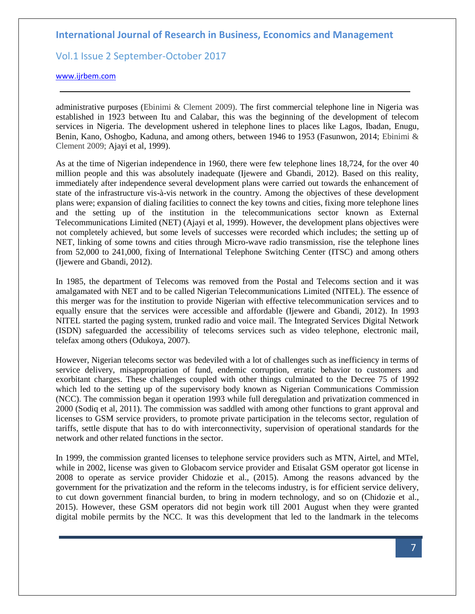# Vol.1 Issue 2 September-October 2017

### [www.ijrbem.com](http://www.ijrbem.com/)

administrative purposes (Ebinimi & Clement 2009). The first commercial telephone line in Nigeria was established in 1923 between Itu and Calabar, this was the beginning of the development of telecom services in Nigeria. The development ushered in telephone lines to places like Lagos, Ibadan, Enugu, Benin, Kano, Oshogbo, Kaduna, and among others, between 1946 to 1953 (Fasunwon, 2014; Ebinimi & Clement 2009; Ajayi et al, 1999).

As at the time of Nigerian independence in 1960, there were few telephone lines 18,724, for the over 40 million people and this was absolutely inadequate (Ijewere and Gbandi, 2012). Based on this reality, immediately after independence several development plans were carried out towards the enhancement of state of the infrastructure vis-à-vis network in the country. Among the objectives of these development plans were; expansion of dialing facilities to connect the key towns and cities, fixing more telephone lines and the setting up of the institution in the telecommunications sector known as External Telecommunications Limited (NET) (Ajayi et al, 1999). However, the development plans objectives were not completely achieved, but some levels of successes were recorded which includes; the setting up of NET, linking of some towns and cities through Micro-wave radio transmission, rise the telephone lines from 52,000 to 241,000, fixing of International Telephone Switching Center (ITSC) and among others (Ijewere and Gbandi, 2012).

In 1985, the department of Telecoms was removed from the Postal and Telecoms section and it was amalgamated with NET and to be called Nigerian Telecommunications Limited (NITEL). The essence of this merger was for the institution to provide Nigerian with effective telecommunication services and to equally ensure that the services were accessible and affordable (Ijewere and Gbandi, 2012). In 1993 NITEL started the paging system, trunked radio and voice mail. The Integrated Services Digital Network (ISDN) safeguarded the accessibility of telecoms services such as video telephone, electronic mail, telefax among others (Odukoya, 2007).

However, Nigerian telecoms sector was bedeviled with a lot of challenges such as inefficiency in terms of service delivery, misappropriation of fund, endemic corruption, erratic behavior to customers and exorbitant charges. These challenges coupled with other things culminated to the Decree 75 of 1992 which led to the setting up of the supervisory body known as Nigerian Communications Commission (NCC). The commission began it operation 1993 while full deregulation and privatization commenced in 2000 (Sodiq et al, 2011). The commission was saddled with among other functions to grant approval and licenses to GSM service providers, to promote private participation in the telecoms sector, regulation of tariffs, settle dispute that has to do with interconnectivity, supervision of operational standards for the network and other related functions in the sector.

In 1999, the commission granted licenses to telephone service providers such as MTN, Airtel, and MTel, while in 2002, license was given to Globacom service provider and Etisalat GSM operator got license in 2008 to operate as service provider Chidozie et al., (2015). Among the reasons advanced by the government for the privatization and the reform in the telecoms industry, is for efficient service delivery, to cut down government financial burden, to bring in modern technology, and so on (Chidozie et al., 2015). However, these GSM operators did not begin work till 2001 August when they were granted digital mobile permits by the NCC. It was this development that led to the landmark in the telecoms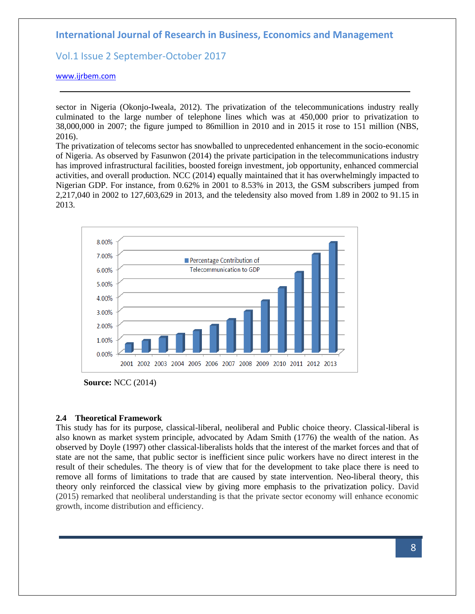Vol.1 Issue 2 September-October 2017

[www.ijrbem.com](http://www.ijrbem.com/)

sector in Nigeria (Okonjo-Iweala, 2012). The privatization of the telecommunications industry really culminated to the large number of telephone lines which was at 450,000 prior to privatization to 38,000,000 in 2007; the figure jumped to 86million in 2010 and in 2015 it rose to 151 million (NBS, 2016).

The privatization of telecoms sector has snowballed to unprecedented enhancement in the socio-economic of Nigeria. As observed by Fasunwon (2014) the private participation in the telecommunications industry has improved infrastructural facilities, boosted foreign investment, job opportunity, enhanced commercial activities, and overall production. NCC (2014) equally maintained that it has overwhelmingly impacted to Nigerian GDP. For instance, from 0.62% in 2001 to 8.53% in 2013, the GSM subscribers jumped from 2,217,040 in 2002 to 127,603,629 in 2013, and the teledensity also moved from 1.89 in 2002 to 91.15 in 2013.



**Source:** NCC (2014)

### **2.4 Theoretical Framework**

This study has for its purpose, classical-liberal, neoliberal and Public choice theory. Classical-liberal is also known as market system principle, advocated by Adam Smith (1776) the wealth of the nation. As observed by Doyle (1997) other classical-liberalists holds that the interest of the market forces and that of state are not the same, that public sector is inefficient since pulic workers have no direct interest in the result of their schedules. The theory is of view that for the development to take place there is need to remove all forms of limitations to trade that are caused by state intervention. Neo-liberal theory, this theory only reinforced the classical view by giving more emphasis to the privatization policy. David (2015) remarked that neoliberal understanding is that the private sector economy will enhance economic growth, income distribution and efficiency.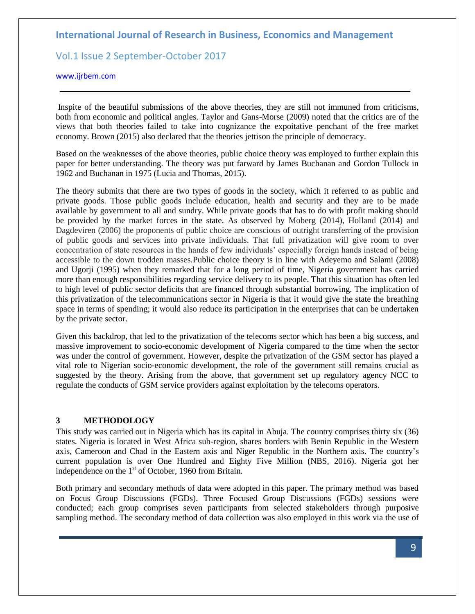# Vol.1 Issue 2 September-October 2017

### [www.ijrbem.com](http://www.ijrbem.com/)

Inspite of the beautiful submissions of the above theories, they are still not immuned from criticisms, both from economic and political angles. Taylor and Gans-Morse (2009) noted that the critics are of the views that both theories failed to take into cognizance the expoitative penchant of the free market economy. Brown (2015) also declared that the theories jettison the principle of democracy.

Based on the weaknesses of the above theories, public choice theory was employed to further explain this paper for better understanding. The theory was put farward by James Buchanan and Gordon Tullock in 1962 and Buchanan in 1975 (Lucia and Thomas, 2015).

The theory submits that there are two types of goods in the society, which it referred to as public and private goods. Those public goods include education, health and security and they are to be made available by government to all and sundry. While private goods that has to do with profit making should be provided by the market forces in the state. As observed by Moberg (2014), Holland (2014) and Dagdeviren (2006) the proponents of public choice are conscious of outright transferring of the provision of public goods and services into private individuals. That full privatization will give room to over concentration of state resources in the hands of few individuals' especially foreign hands instead of being accessible to the down trodden masses.Public choice theory is in line with Adeyemo and Salami (2008) and Ugorji (1995) when they remarked that for a long period of time, Nigeria government has carried more than enough responsibilities regarding service delivery to its people. That this situation has often led to high level of public sector deficits that are financed through substantial borrowing. The implication of this privatization of the telecommunications sector in Nigeria is that it would give the state the breathing space in terms of spending; it would also reduce its participation in the enterprises that can be undertaken by the private sector.

Given this backdrop, that led to the privatization of the telecoms sector which has been a big success, and massive improvement to socio-economic development of Nigeria compared to the time when the sector was under the control of government. However, despite the privatization of the GSM sector has played a vital role to Nigerian socio-economic development, the role of the government still remains crucial as suggested by the theory. Arising from the above, that government set up regulatory agency NCC to regulate the conducts of GSM service providers against exploitation by the telecoms operators.

## **3 METHODOLOGY**

This study was carried out in Nigeria which has its capital in Abuja. The country comprises thirty six (36) states. Nigeria is located in West Africa sub-region, shares borders with Benin Republic in the Western axis, Cameroon and Chad in the Eastern axis and Niger Republic in the Northern axis. The country's current population is over One Hundred and Eighty Five Million (NBS, 2016). Nigeria got her independence on the  $1<sup>st</sup>$  of October, 1960 from Britain.

Both primary and secondary methods of data were adopted in this paper. The primary method was based on Focus Group Discussions (FGDs). Three Focused Group Discussions (FGDs) sessions were conducted; each group comprises seven participants from selected stakeholders through purposive sampling method. The secondary method of data collection was also employed in this work via the use of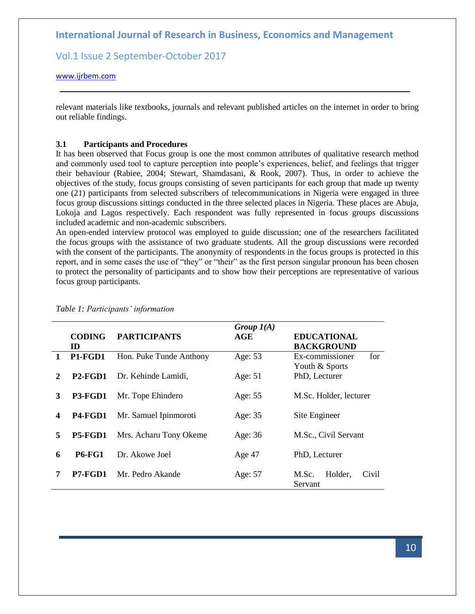Vol.1 Issue 2 September-October 2017

### [www.ijrbem.com](http://www.ijrbem.com/)

relevant materials like textbooks, journals and relevant published articles on the internet in order to bring out reliable findings.

## **3.1 Participants and Procedures**

It has been observed that Focus group is one the most common attributes of qualitative research method and commonly used tool to capture perception into people's experiences, belief, and feelings that trigger their behaviour (Rabiee, 2004; Stewart, Shamdasani, & Rook, 2007). Thus, in order to achieve the objectives of the study, focus groups consisting of seven participants for each group that made up twenty one (21) participants from selected subscribers of telecommunications in Nigeria were engaged in three focus group discussions sittings conducted in the three selected places in Nigeria. These places are Abuja, Lokoja and Lagos respectively. Each respondent was fully represented in focus groups discussions included academic and non-academic subscribers.

An open-ended interview protocol was employed to guide discussion; one of the researchers facilitated the focus groups with the assistance of two graduate students. All the group discussions were recorded with the consent of the participants. The anonymity of respondents in the focus groups is protected in this report, and in some cases the use of "they" or "their" as the first person singular pronoun has been chosen to protect the personality of participants and to show how their perceptions are representative of various focus group participants.

|                         | <b>CODING</b><br>ID                           | <b>PARTICIPANTS</b>     | Group $I(A)$<br>AGE | <b>EDUCATIONAL</b><br><b>BACKGROUND</b>  |  |
|-------------------------|-----------------------------------------------|-------------------------|---------------------|------------------------------------------|--|
| $\mathbf{1}$            | P <sub>1</sub> -F <sub>G</sub> D <sub>1</sub> | Hon. Puke Tunde Anthony | Age: 53             | Ex-commissioner<br>for<br>Youth & Sports |  |
| 2                       | P2-FGD1                                       | Dr. Kehinde Lamidi,     | Age: $51$           | PhD, Lecturer                            |  |
| 3                       | P3-FGD1                                       | Mr. Tope Ehindero       | Age: 55             | M.Sc. Holder, lecturer                   |  |
| $\overline{\mathbf{4}}$ | P <sub>4</sub> -F <sub>G</sub> D <sub>1</sub> | Mr. Samuel Ipinmoroti   | Age: 35             | Site Engineer                            |  |
| 5                       | P5-FGD1                                       | Mrs. Acharu Tony Okeme  | Age: 36             | M.Sc., Civil Servant                     |  |
| 6                       | <b>P6-FG1</b>                                 | Dr. Akowe Joel          | Age 47              | PhD, Lecturer                            |  |
| 7                       | <b>P7-FGD1</b>                                | Mr. Pedro Akande        | Age: 57             | Holder.<br>M.Sc.<br>Civil<br>Servant     |  |

### *Table 1: Participants' information*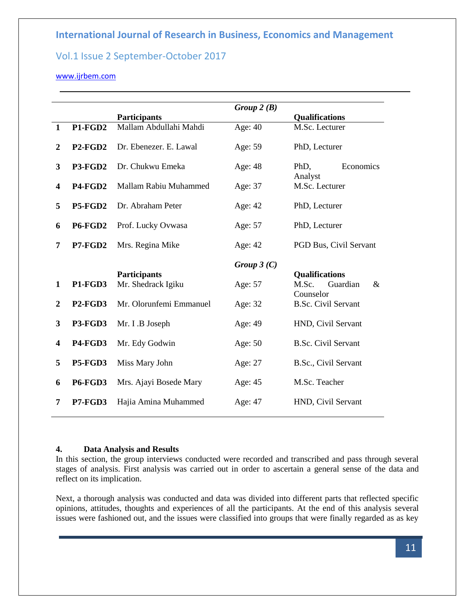# Vol.1 Issue 2 September-October 2017

## [www.ijrbem.com](http://www.ijrbem.com/)

|                         |                                  |                         | Group $2(B)$ |                                        |  |
|-------------------------|----------------------------------|-------------------------|--------------|----------------------------------------|--|
|                         |                                  | <b>Participants</b>     |              | <b>Qualifications</b>                  |  |
| $\mathbf{1}$            | P1-FGD2                          | Mallam Abdullahi Mahdi  | Age: 40      | M.Sc. Lecturer                         |  |
| 2                       | P <sub>2</sub> -FGD <sub>2</sub> | Dr. Ebenezer. E. Lawal  | Age: 59      | PhD, Lecturer                          |  |
| 3                       | P3-FGD2                          | Dr. Chukwu Emeka        | Age: 48      | Economics<br>PhD,                      |  |
| $\overline{\mathbf{4}}$ | P4-FGD2                          | Mallam Rabiu Muhammed   | Age: 37      | Analyst<br>M.Sc. Lecturer              |  |
| 5                       | <b>P5-FGD2</b>                   | Dr. Abraham Peter       | Age: 42      | PhD, Lecturer                          |  |
| 6                       | <b>P6-FGD2</b>                   | Prof. Lucky Ovwasa      | Age: 57      | PhD, Lecturer                          |  |
| 7                       | P7-FGD2                          | Mrs. Regina Mike        | Age: 42      | PGD Bus, Civil Servant                 |  |
|                         |                                  |                         | Group $3(C)$ |                                        |  |
|                         |                                  | <b>Participants</b>     |              | <b>Qualifications</b>                  |  |
| $\mathbf{1}$            | P1-FGD3                          | Mr. Shedrack Igiku      | Age: 57      | M.Sc.<br>Guardian<br>$\&$<br>Counselor |  |
| $\overline{2}$          | <b>P2-FGD3</b>                   | Mr. Olorunfemi Emmanuel | Age: 32      | <b>B.Sc. Civil Servant</b>             |  |
| 3                       | P3-FGD3                          | Mr. I .B Joseph         | Age: 49      | HND, Civil Servant                     |  |
| $\overline{\mathbf{4}}$ | P4-FGD3                          | Mr. Edy Godwin          | Age: 50      | <b>B.Sc. Civil Servant</b>             |  |
| 5                       | <b>P5-FGD3</b>                   | Miss Mary John          | Age: 27      | B.Sc., Civil Servant                   |  |
| 6                       | <b>P6-FGD3</b>                   | Mrs. Ajayi Bosede Mary  | Age: 45      | M.Sc. Teacher                          |  |
| 7                       | P7-FGD3                          | Hajia Amina Muhammed    | Age: 47      | HND, Civil Servant                     |  |

### **4. Data Analysis and Results**

In this section, the group interviews conducted were recorded and transcribed and pass through several stages of analysis. First analysis was carried out in order to ascertain a general sense of the data and reflect on its implication.

Next, a thorough analysis was conducted and data was divided into different parts that reflected specific opinions, attitudes, thoughts and experiences of all the participants. At the end of this analysis several issues were fashioned out, and the issues were classified into groups that were finally regarded as as key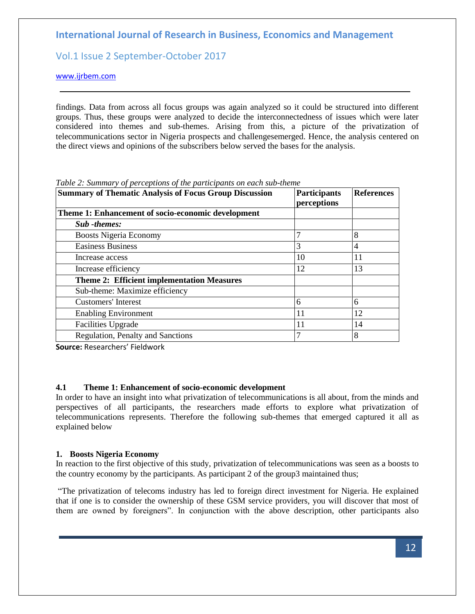# Vol.1 Issue 2 September-October 2017

[www.ijrbem.com](http://www.ijrbem.com/)

findings. Data from across all focus groups was again analyzed so it could be structured into different groups. Thus, these groups were analyzed to decide the interconnectedness of issues which were later considered into themes and sub-themes. Arising from this, a picture of the privatization of telecommunications sector in Nigeria prospects and challengesemerged. Hence, the analysis centered on the direct views and opinions of the subscribers below served the bases for the analysis.

| <b>Summary of Thematic Analysis of Focus Group Discussion</b> | <b>Participants</b><br>perceptions | <b>References</b> |
|---------------------------------------------------------------|------------------------------------|-------------------|
| Theme 1: Enhancement of socio-economic development            |                                    |                   |
| <b>Sub</b> -themes:                                           |                                    |                   |
| <b>Boosts Nigeria Economy</b>                                 | 7                                  | 8                 |
| <b>Easiness Business</b>                                      | 3                                  | 4                 |
| Increase access                                               | 10                                 | 11                |
| Increase efficiency                                           | 12                                 | 13                |
| <b>Theme 2: Efficient implementation Measures</b>             |                                    |                   |
| Sub-theme: Maximize efficiency                                |                                    |                   |
| <b>Customers'</b> Interest                                    | 6                                  | 6                 |
| <b>Enabling Environment</b>                                   | 11                                 | 12                |
| <b>Facilities Upgrade</b>                                     | 11                                 | 14                |
| Regulation, Penalty and Sanctions                             |                                    | 8                 |

*Table 2: Summary of perceptions of the participants on each sub-theme*

**Source:** Researchers' Fieldwork

### **4.1 Theme 1: Enhancement of socio-economic development**

In order to have an insight into what privatization of telecommunications is all about, from the minds and perspectives of all participants, the researchers made efforts to explore what privatization of telecommunications represents. Therefore the following sub-themes that emerged captured it all as explained below

### **1. Boosts Nigeria Economy**

In reaction to the first objective of this study, privatization of telecommunications was seen as a boosts to the country economy by the participants. As participant 2 of the group3 maintained thus;

"The privatization of telecoms industry has led to foreign direct investment for Nigeria. He explained that if one is to consider the ownership of these GSM service providers, you will discover that most of them are owned by foreigners". In conjunction with the above description, other participants also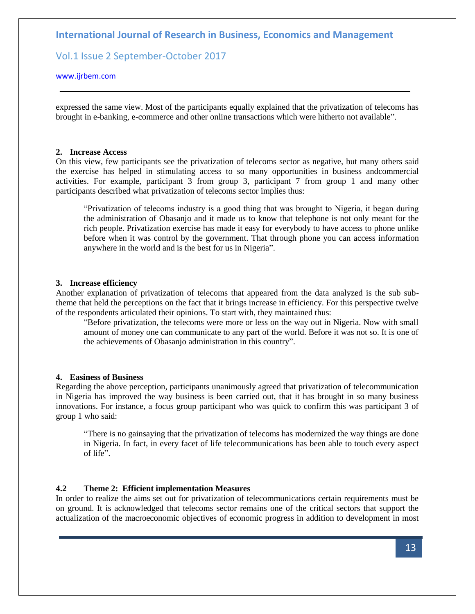# Vol.1 Issue 2 September-October 2017

### [www.ijrbem.com](http://www.ijrbem.com/)

expressed the same view. Most of the participants equally explained that the privatization of telecoms has brought in e-banking, e-commerce and other online transactions which were hitherto not available".

#### **2. Increase Access**

On this view, few participants see the privatization of telecoms sector as negative, but many others said the exercise has helped in stimulating access to so many opportunities in business andcommercial activities. For example, participant 3 from group 3, participant 7 from group 1 and many other participants described what privatization of telecoms sector implies thus:

"Privatization of telecoms industry is a good thing that was brought to Nigeria, it began during the administration of Obasanjo and it made us to know that telephone is not only meant for the rich people. Privatization exercise has made it easy for everybody to have access to phone unlike before when it was control by the government. That through phone you can access information anywhere in the world and is the best for us in Nigeria".

#### **3. Increase efficiency**

Another explanation of privatization of telecoms that appeared from the data analyzed is the sub subtheme that held the perceptions on the fact that it brings increase in efficiency. For this perspective twelve of the respondents articulated their opinions. To start with, they maintained thus:

"Before privatization, the telecoms were more or less on the way out in Nigeria. Now with small amount of money one can communicate to any part of the world. Before it was not so. It is one of the achievements of Obasanjo administration in this country".

### **4. Easiness of Business**

Regarding the above perception, participants unanimously agreed that privatization of telecommunication in Nigeria has improved the way business is been carried out, that it has brought in so many business innovations. For instance, a focus group participant who was quick to confirm this was participant 3 of group 1 who said:

"There is no gainsaying that the privatization of telecoms has modernized the way things are done in Nigeria. In fact, in every facet of life telecommunications has been able to touch every aspect of life".

#### **4.2 Theme 2: Efficient implementation Measures**

In order to realize the aims set out for privatization of telecommunications certain requirements must be on ground. It is acknowledged that telecoms sector remains one of the critical sectors that support the actualization of the macroeconomic objectives of economic progress in addition to development in most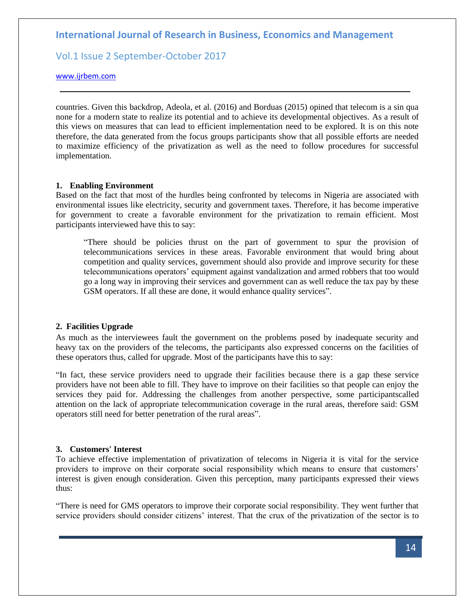Vol.1 Issue 2 September-October 2017

[www.ijrbem.com](http://www.ijrbem.com/)

countries. Given this backdrop, Adeola, et al. (2016) and Borduas (2015) opined that telecom is a sin qua none for a modern state to realize its potential and to achieve its developmental objectives. As a result of this views on measures that can lead to efficient implementation need to be explored. It is on this note therefore, the data generated from the focus groups participants show that all possible efforts are needed to maximize efficiency of the privatization as well as the need to follow procedures for successful implementation.

### **1. Enabling Environment**

Based on the fact that most of the hurdles being confronted by telecoms in Nigeria are associated with environmental issues like electricity, security and government taxes. Therefore, it has become imperative for government to create a favorable environment for the privatization to remain efficient. Most participants interviewed have this to say:

"There should be policies thrust on the part of government to spur the provision of telecommunications services in these areas. Favorable environment that would bring about competition and quality services, government should also provide and improve security for these telecommunications operators' equipment against vandalization and armed robbers that too would go a long way in improving their services and government can as well reduce the tax pay by these GSM operators. If all these are done, it would enhance quality services".

### **2. Facilities Upgrade**

As much as the interviewees fault the government on the problems posed by inadequate security and heavy tax on the providers of the telecoms, the participants also expressed concerns on the facilities of these operators thus, called for upgrade. Most of the participants have this to say:

"In fact, these service providers need to upgrade their facilities because there is a gap these service providers have not been able to fill. They have to improve on their facilities so that people can enjoy the services they paid for. Addressing the challenges from another perspective, some participantscalled attention on the lack of appropriate telecommunication coverage in the rural areas, therefore said: GSM operators still need for better penetration of the rural areas".

### **3. Customers' Interest**

To achieve effective implementation of privatization of telecoms in Nigeria it is vital for the service providers to improve on their corporate social responsibility which means to ensure that customers' interest is given enough consideration. Given this perception, many participants expressed their views thus:

"There is need for GMS operators to improve their corporate social responsibility. They went further that service providers should consider citizens' interest. That the crux of the privatization of the sector is to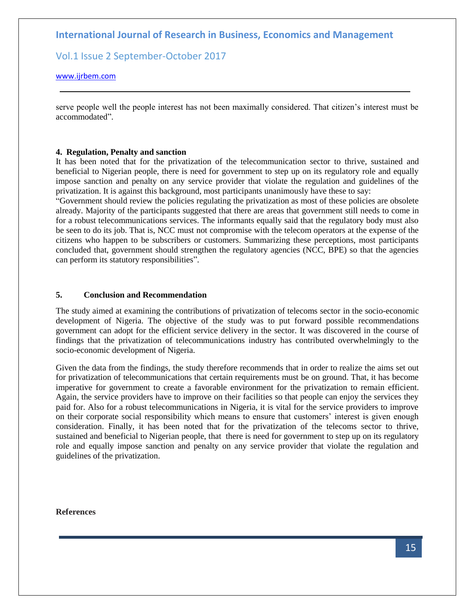Vol.1 Issue 2 September-October 2017

### [www.ijrbem.com](http://www.ijrbem.com/)

serve people well the people interest has not been maximally considered. That citizen's interest must be accommodated".

### **4. Regulation, Penalty and sanction**

It has been noted that for the privatization of the telecommunication sector to thrive, sustained and beneficial to Nigerian people, there is need for government to step up on its regulatory role and equally impose sanction and penalty on any service provider that violate the regulation and guidelines of the privatization. It is against this background, most participants unanimously have these to say:

"Government should review the policies regulating the privatization as most of these policies are obsolete already. Majority of the participants suggested that there are areas that government still needs to come in for a robust telecommunications services. The informants equally said that the regulatory body must also be seen to do its job. That is, NCC must not compromise with the telecom operators at the expense of the citizens who happen to be subscribers or customers. Summarizing these perceptions, most participants concluded that, government should strengthen the regulatory agencies (NCC, BPE) so that the agencies can perform its statutory responsibilities".

### **5. Conclusion and Recommendation**

The study aimed at examining the contributions of privatization of telecoms sector in the socio-economic development of Nigeria. The objective of the study was to put forward possible recommendations government can adopt for the efficient service delivery in the sector. It was discovered in the course of findings that the privatization of telecommunications industry has contributed overwhelmingly to the socio-economic development of Nigeria.

Given the data from the findings, the study therefore recommends that in order to realize the aims set out for privatization of telecommunications that certain requirements must be on ground. That, it has become imperative for government to create a favorable environment for the privatization to remain efficient. Again, the service providers have to improve on their facilities so that people can enjoy the services they paid for. Also for a robust telecommunications in Nigeria, it is vital for the service providers to improve on their corporate social responsibility which means to ensure that customers' interest is given enough consideration. Finally, it has been noted that for the privatization of the telecoms sector to thrive, sustained and beneficial to Nigerian people, that there is need for government to step up on its regulatory role and equally impose sanction and penalty on any service provider that violate the regulation and guidelines of the privatization.

### **References**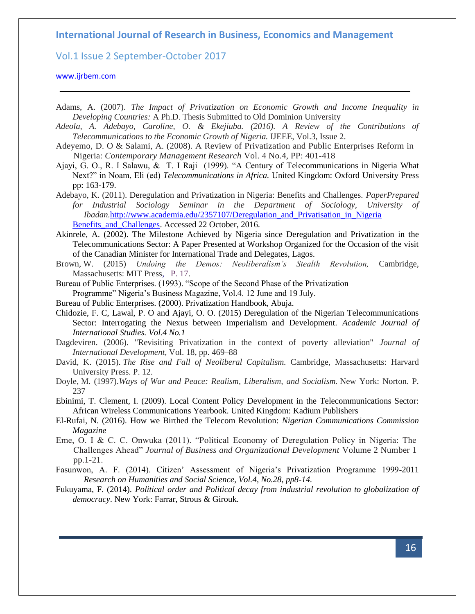Vol.1 Issue 2 September-October 2017

### [www.ijrbem.com](http://www.ijrbem.com/)

- Adams, A. (2007). *The Impact of Privatization on Economic Growth and Income Inequality in Developing Countries:* A Ph.D. Thesis Submitted to Old Dominion University
- *Adeola, A. Adebayo, Caroline, O. & Ekejiuba. (2016). A Review of the Contributions of Telecommunications to the Economic Growth of Nigeria.* IJEEE, Vol.3, Issue 2.
- Adeyemo, D. O & Salami, A. (2008). A Review of Privatization and Public Enterprises Reform in Nigeria: *Contemporary Management Research* Vol. 4 No.4, PP: 401-418
- Ajayi, G. O., R. I Salawu, & T. I Raji (1999). "A Century of Telecommunications in Nigeria What Next?" in Noam, Eli (ed) *Telecommunications in Africa.* United Kingdom: Oxford University Press pp: 163-179.
- Adebayo, K. (2011). Deregulation and Privatization in Nigeria: Benefits and Challenges. *PaperPrepared for Industrial Sociology Seminar in the Department of Sociology, University of Ibadan.*[http://www.academia.edu/2357107/Deregulation\\_and\\_Privatisation\\_in\\_Nigeria](http://www.academia.edu/2357107/Deregulation_and_Privatisation_in_Nigeria%20Benefits_and_Challenges)  Benefits and Challenges. Accessed 22 October, 2016.
- Akinrele, A. (2002). The Milestone Achieved by Nigeria since Deregulation and Privatization in the Telecommunications Sector: A Paper Presented at Workshop Organized for the Occasion of the visit of the Canadian Minister for International Trade and Delegates, Lagos.
- Brown, W. (2015) *Undoing the Demos: Neoliberalism's Stealth Revolution,* Cambridge, Massachusetts: MIT [Press,](https://en.wikipedia.org/wiki/MIT_Press) [P. 17.](https://books.google.com/books?id=r_kXBwAAQBAJ&lpg=PP1&pg=PA17#v=onepage&q&f=false)
- Bureau of Public Enterprises. (1993). "Scope of the Second Phase of the Privatization Programme" Nigeria's Business Magazine, Vol.4. 12 June and 19 July.
- Bureau of Public Enterprises. (2000). Privatization Handbook, Abuja.
- Chidozie, F. C, Lawal, P. O and Ajayi, O. O. (2015) Deregulation of the Nigerian Telecommunications Sector: Interrogating the Nexus between Imperialism and Development. *Academic Journal of International Studies. Vol.4 No.1*
- Dagdeviren. (2006). "Revisiting Privatization in the context of poverty alleviation" *Journal of International Development,* Vol. 18, pp. 469–88
- David, K. (2015). *The Rise and Fall of Neoliberal Capitalism.* Cambridge, Massachusetts: Harvard University Press. P. 12.
- Doyle, M. (1997).*Ways of War and Peace: Realism, Liberalism, and Socialism.* New York: Norton. P. 237
- Ebinimi, T. Clement, I. (2009). Local Content Policy Development in the Telecommunications Sector: African Wireless Communications Yearbook. United Kingdom: Kadium Publishers
- El-Rufai, N. (2016). How we Birthed the Telecom Revolution: *Nigerian Communications Commission Magazine*
- Eme, O. I & C. C. Onwuka (2011). "Political Economy of Deregulation Policy in Nigeria: The Challenges Ahead" *Journal of Business and Organizational Development* Volume 2 Number 1 pp.1-21.
- Fasunwon, A. F. (2014). Citizen' Assessment of Nigeria's Privatization Programme 1999-2011 *Research on Humanities and Social Science, Vol.4, No.28, pp8-14.*
- Fukuyama, F. (2014). *Political order and Political decay from industrial revolution to globalization of democracy*. New York: Farrar, Strous & Girouk.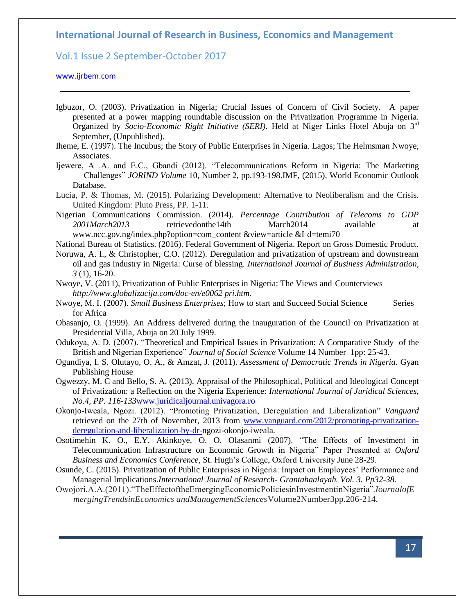## Vol.1 Issue 2 September-October 2017

### [www.ijrbem.com](http://www.ijrbem.com/)

Igbuzor, O. (2003). Privatization in Nigeria; Crucial Issues of Concern of Civil Society. A paper presented at a power mapping roundtable discussion on the Privatization Programme in Nigeria. Organized by *Socio-Economic Right Initiative (SERI)*. Held at Niger Links Hotel Abuja on 3rd September, (Unpublished).

Iheme, E. (1997). The Incubus; the Story of Public Enterprises in Nigeria. Lagos; The Helmsman Nwoye, Associates.

Ijewere, A .A. and E.C., Gbandi (2012). "Telecommunications Reform in Nigeria: The Marketing Challenges" *JORIND Volume* 10, Number 2, pp.193-198.IMF, (2015), World Economic Outlook Database.

Lucia, P. & Thomas, M. (2015). Polarizing Development: Alternative to Neoliberalism and the Crisis. United Kingdom: Pluto Press, PP. 1-11.

Nigerian Communications Commission. (2014). *Percentage Contribution of Telecoms to GDP 2001March2013* retrievedonthe14th March2014 available at www.ncc.gov.ng/index.php?option=com\_content &view=article &I d=temi70

National Bureau of Statistics. (2016). Federal Government of Nigeria. Report on Gross Domestic Product.

Noruwa, A. I., & Christopher, C.O. (2012). Deregulation and privatization of upstream and downstream oil and gas industry in Nigeria: Curse of blessing. *International Journal of Business Administration, 3* (1), 16-20.

Nwoye, V. (2011), Privatization of Public Enterprises in Nigeria: The Views and Counterviews *http://www.globalizacija.com/doc-en/e0062 pri.htm.*

Nwoye, M. I. (2007). *Small Business Enterprises*; How to start and Succeed Social Science Series for Africa

Obasanjo, O. (1999). An Address delivered during the inauguration of the Council on Privatization at Presidential Villa, Abuja on 20 July 1999.

Odukoya, A. D. (2007). "Theoretical and Empirical Issues in Privatization: A Comparative Study of the British and Nigerian Experience" *Journal of Social Science* Volume 14 Number 1pp: 25-43.

Ogundiya, I. S. Olutayo, O. A., & Amzat, J. (2011). *Assessment of Democratic Trends in Nigeria.* Gyan Publishing House

Ogwezzy, M. C and Bello, S. A. (2013). Appraisal of the Philosophical, Political and Ideological Concept of Privatization: a Reflection on the Nigeria Experience: *International Journal of Juridical Sciences, No.4, PP. 116-133*[www.juridicaljournal.univagora.ro](http://www.juridicaljournal.univagora.ro/)

Okonjo-Iweala, Ngozi. (2012). "Promoting Privatization, Deregulation and Liberalization" *Vanguard*  retrieved on the 27th of November, 2013 from [www.vanguard.com/2012/promoting-privatization](http://www.vanguard.com/2012/promoting-privatization-deregulation-and-liberalization-by-dr-)[deregulation-and-liberalization-by-dr-n](http://www.vanguard.com/2012/promoting-privatization-deregulation-and-liberalization-by-dr-)gozi-okonjo-iweala.

Osotimehin K. O., E.Y. Akinkoye, O. O. Olasanmi (2007). "The Effects of Investment in Telecommunication Infrastructure on Economic Growth in Nigeria" Paper Presented at *Oxford Business and Economics Conference*, St. Hugh's College, Oxford University June 28-29.

Osunde, C. (2015). Privatization of Public Enterprises in Nigeria: Impact on Employees' Performance and Managerial Implications.*International Journal of Research- Grantahaalayah. Vol. 3. Pp32-38.*

Owojori,A.A.(2011)."TheEffectoftheEmergingEconomicPoliciesinInvestmentinNigeria"*JournalofE mergingTrendsinEconomics andManagementSciences*Volume2Number3pp.206-214.